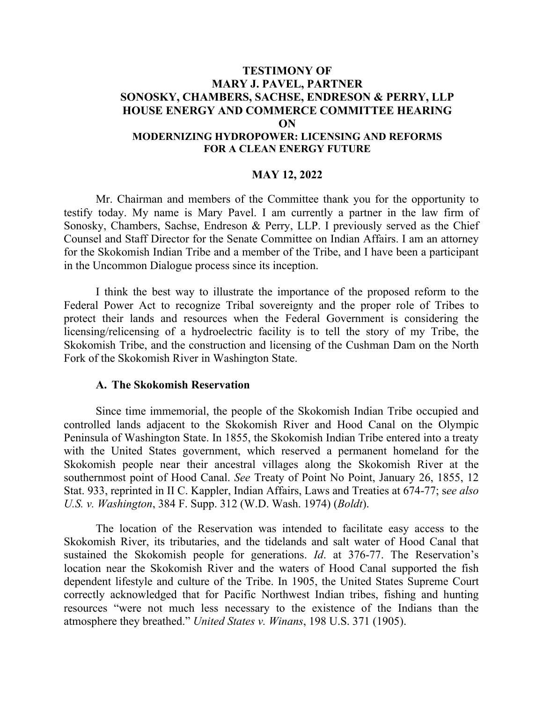# **TESTIMONY OF MARY J. PAVEL, PARTNER SONOSKY, CHAMBERS, SACHSE, ENDRESON & PERRY, LLP HOUSE ENERGY AND COMMERCE COMMITTEE HEARING ON MODERNIZING HYDROPOWER: LICENSING AND REFORMS FOR A CLEAN ENERGY FUTURE**

## **MAY 12, 2022**

Mr. Chairman and members of the Committee thank you for the opportunity to testify today. My name is Mary Pavel. I am currently a partner in the law firm of Sonosky, Chambers, Sachse, Endreson & Perry, LLP. I previously served as the Chief Counsel and Staff Director for the Senate Committee on Indian Affairs. I am an attorney for the Skokomish Indian Tribe and a member of the Tribe, and I have been a participant in the Uncommon Dialogue process since its inception.

I think the best way to illustrate the importance of the proposed reform to the Federal Power Act to recognize Tribal sovereignty and the proper role of Tribes to protect their lands and resources when the Federal Government is considering the licensing/relicensing of a hydroelectric facility is to tell the story of my Tribe, the Skokomish Tribe, and the construction and licensing of the Cushman Dam on the North Fork of the Skokomish River in Washington State.

#### **A. The Skokomish Reservation**

Since time immemorial, the people of the Skokomish Indian Tribe occupied and controlled lands adjacent to the Skokomish River and Hood Canal on the Olympic Peninsula of Washington State. In 1855, the Skokomish Indian Tribe entered into a treaty with the United States government, which reserved a permanent homeland for the Skokomish people near their ancestral villages along the Skokomish River at the southernmost point of Hood Canal. *See* Treaty of Point No Point, January 26, 1855, 12 Stat. 933, reprinted in II C. Kappler, Indian Affairs, Laws and Treaties at 674-77; s*ee also U.S. v. Washington*, 384 F. Supp. 312 (W.D. Wash. 1974) (*Boldt*).

The location of the Reservation was intended to facilitate easy access to the Skokomish River, its tributaries, and the tidelands and salt water of Hood Canal that sustained the Skokomish people for generations. *Id*. at 376-77. The Reservation's location near the Skokomish River and the waters of Hood Canal supported the fish dependent lifestyle and culture of the Tribe. In 1905, the United States Supreme Court correctly acknowledged that for Pacific Northwest Indian tribes, fishing and hunting resources "were not much less necessary to the existence of the Indians than the atmosphere they breathed." *United States v. Winans*, 198 U.S. 371 (1905).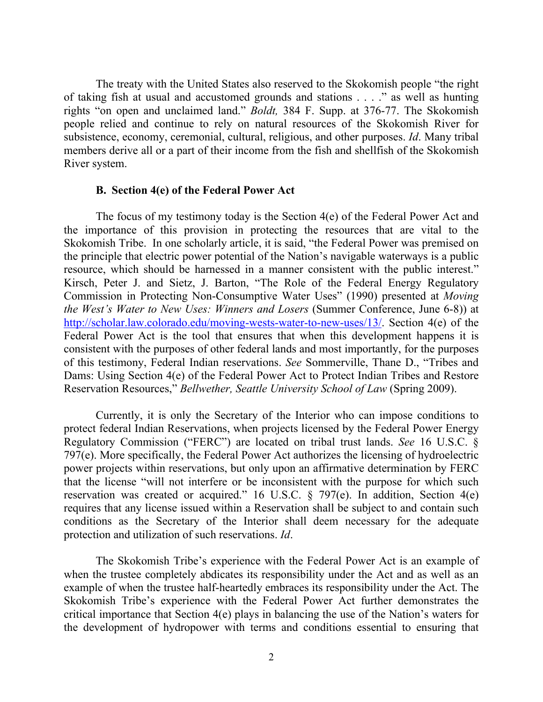The treaty with the United States also reserved to the Skokomish people "the right of taking fish at usual and accustomed grounds and stations . . . ." as well as hunting rights "on open and unclaimed land." *Boldt,* 384 F. Supp. at 376-77. The Skokomish people relied and continue to rely on natural resources of the Skokomish River for subsistence, economy, ceremonial, cultural, religious, and other purposes. *Id*. Many tribal members derive all or a part of their income from the fish and shellfish of the Skokomish River system.

#### **B. Section 4(e) of the Federal Power Act**

The focus of my testimony today is the Section 4(e) of the Federal Power Act and the importance of this provision in protecting the resources that are vital to the Skokomish Tribe. In one scholarly article, it is said, "the Federal Power was premised on the principle that electric power potential of the Nation's navigable waterways is a public resource, which should be harnessed in a manner consistent with the public interest." Kirsch, Peter J. and Sietz, J. Barton, "The Role of the Federal Energy Regulatory Commission in Protecting Non-Consumptive Water Uses" (1990) presented at *Moving the West's Water to New Uses: Winners and Losers* (Summer Conference, June 6-8)) at http://scholar.law.colorado.edu/moving-wests-water-to-new-uses/13/. Section 4(e) of the Federal Power Act is the tool that ensures that when this development happens it is consistent with the purposes of other federal lands and most importantly, for the purposes of this testimony, Federal Indian reservations. *See* Sommerville, Thane D., "Tribes and Dams: Using Section 4(e) of the Federal Power Act to Protect Indian Tribes and Restore Reservation Resources," *Bellwether, Seattle University School of Law* (Spring 2009).

Currently, it is only the Secretary of the Interior who can impose conditions to protect federal Indian Reservations, when projects licensed by the Federal Power Energy Regulatory Commission ("FERC") are located on tribal trust lands. *See* 16 U.S.C. § 797(e). More specifically, the Federal Power Act authorizes the licensing of hydroelectric power projects within reservations, but only upon an affirmative determination by FERC that the license "will not interfere or be inconsistent with the purpose for which such reservation was created or acquired." 16 U.S.C. § 797(e). In addition, Section 4(e) requires that any license issued within a Reservation shall be subject to and contain such conditions as the Secretary of the Interior shall deem necessary for the adequate protection and utilization of such reservations. *Id*.

The Skokomish Tribe's experience with the Federal Power Act is an example of when the trustee completely abdicates its responsibility under the Act and as well as an example of when the trustee half-heartedly embraces its responsibility under the Act. The Skokomish Tribe's experience with the Federal Power Act further demonstrates the critical importance that Section 4(e) plays in balancing the use of the Nation's waters for the development of hydropower with terms and conditions essential to ensuring that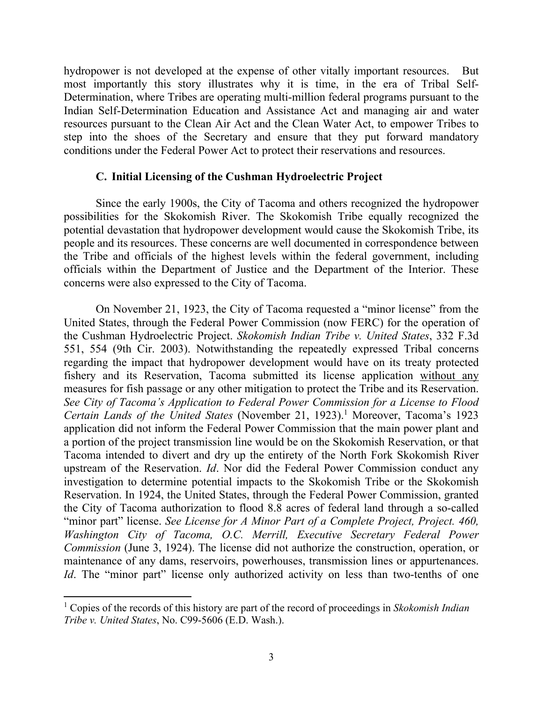hydropower is not developed at the expense of other vitally important resources. But most importantly this story illustrates why it is time, in the era of Tribal Self-Determination, where Tribes are operating multi-million federal programs pursuant to the Indian Self-Determination Education and Assistance Act and managing air and water resources pursuant to the Clean Air Act and the Clean Water Act, to empower Tribes to step into the shoes of the Secretary and ensure that they put forward mandatory conditions under the Federal Power Act to protect their reservations and resources.

# **C. Initial Licensing of the Cushman Hydroelectric Project**

Since the early 1900s, the City of Tacoma and others recognized the hydropower possibilities for the Skokomish River. The Skokomish Tribe equally recognized the potential devastation that hydropower development would cause the Skokomish Tribe, its people and its resources. These concerns are well documented in correspondence between the Tribe and officials of the highest levels within the federal government, including officials within the Department of Justice and the Department of the Interior. These concerns were also expressed to the City of Tacoma.

On November 21, 1923, the City of Tacoma requested a "minor license" from the United States, through the Federal Power Commission (now FERC) for the operation of the Cushman Hydroelectric Project. *Skokomish Indian Tribe v. United States*, 332 F.3d 551, 554 (9th Cir. 2003). Notwithstanding the repeatedly expressed Tribal concerns regarding the impact that hydropower development would have on its treaty protected fishery and its Reservation, Tacoma submitted its license application without any measures for fish passage or any other mitigation to protect the Tribe and its Reservation. *See City of Tacoma's Application to Federal Power Commission for a License to Flood*  Certain Lands of the United States (November 21, 1923).<sup>1</sup> Moreover, Tacoma's 1923 application did not inform the Federal Power Commission that the main power plant and a portion of the project transmission line would be on the Skokomish Reservation, or that Tacoma intended to divert and dry up the entirety of the North Fork Skokomish River upstream of the Reservation. *Id*. Nor did the Federal Power Commission conduct any investigation to determine potential impacts to the Skokomish Tribe or the Skokomish Reservation. In 1924, the United States, through the Federal Power Commission, granted the City of Tacoma authorization to flood 8.8 acres of federal land through a so-called "minor part" license. *See License for A Minor Part of a Complete Project, Project. 460, Washington City of Tacoma, O.C. Merrill, Executive Secretary Federal Power Commission* (June 3, 1924). The license did not authorize the construction, operation, or maintenance of any dams, reservoirs, powerhouses, transmission lines or appurtenances. *Id*. The "minor part" license only authorized activity on less than two-tenths of one

<sup>&</sup>lt;sup>1</sup> Copies of the records of this history are part of the record of proceedings in *Skokomish Indian Tribe v. United States*, No. C99-5606 (E.D. Wash.).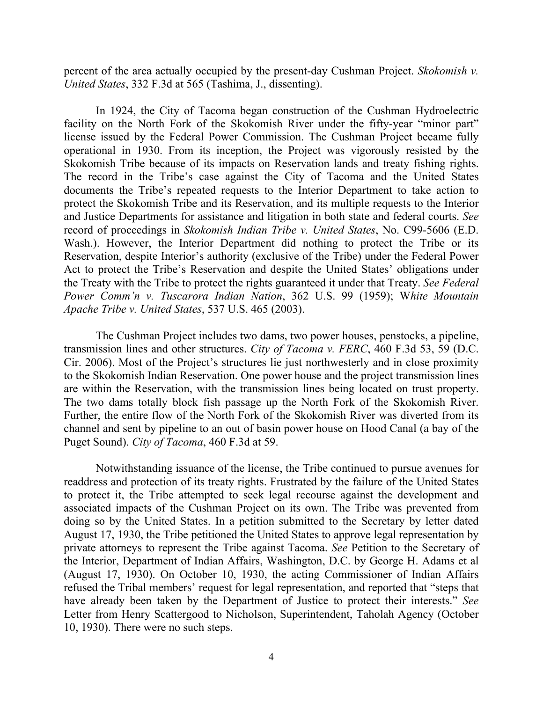percent of the area actually occupied by the present-day Cushman Project. *Skokomish v. United States*, 332 F.3d at 565 (Tashima, J., dissenting).

In 1924, the City of Tacoma began construction of the Cushman Hydroelectric facility on the North Fork of the Skokomish River under the fifty-year "minor part" license issued by the Federal Power Commission. The Cushman Project became fully operational in 1930. From its inception, the Project was vigorously resisted by the Skokomish Tribe because of its impacts on Reservation lands and treaty fishing rights. The record in the Tribe's case against the City of Tacoma and the United States documents the Tribe's repeated requests to the Interior Department to take action to protect the Skokomish Tribe and its Reservation, and its multiple requests to the Interior and Justice Departments for assistance and litigation in both state and federal courts. *See*  record of proceedings in *Skokomish Indian Tribe v. United States*, No. C99-5606 (E.D. Wash.). However, the Interior Department did nothing to protect the Tribe or its Reservation, despite Interior's authority (exclusive of the Tribe) under the Federal Power Act to protect the Tribe's Reservation and despite the United States' obligations under the Treaty with the Tribe to protect the rights guaranteed it under that Treaty. *See Federal Power Comm'n v. Tuscarora Indian Nation*, 362 U.S. 99 (1959); W*hite Mountain Apache Tribe v. United States*, 537 U.S. 465 (2003).

The Cushman Project includes two dams, two power houses, penstocks, a pipeline, transmission lines and other structures. *City of Tacoma v. FERC*, 460 F.3d 53, 59 (D.C. Cir. 2006). Most of the Project's structures lie just northwesterly and in close proximity to the Skokomish Indian Reservation. One power house and the project transmission lines are within the Reservation, with the transmission lines being located on trust property. The two dams totally block fish passage up the North Fork of the Skokomish River. Further, the entire flow of the North Fork of the Skokomish River was diverted from its channel and sent by pipeline to an out of basin power house on Hood Canal (a bay of the Puget Sound). *City of Tacoma*, 460 F.3d at 59.

Notwithstanding issuance of the license, the Tribe continued to pursue avenues for readdress and protection of its treaty rights. Frustrated by the failure of the United States to protect it, the Tribe attempted to seek legal recourse against the development and associated impacts of the Cushman Project on its own. The Tribe was prevented from doing so by the United States. In a petition submitted to the Secretary by letter dated August 17, 1930, the Tribe petitioned the United States to approve legal representation by private attorneys to represent the Tribe against Tacoma. *See* Petition to the Secretary of the Interior, Department of Indian Affairs, Washington, D.C. by George H. Adams et al (August 17, 1930). On October 10, 1930, the acting Commissioner of Indian Affairs refused the Tribal members' request for legal representation, and reported that "steps that have already been taken by the Department of Justice to protect their interests." *See* Letter from Henry Scattergood to Nicholson, Superintendent, Taholah Agency (October 10, 1930). There were no such steps.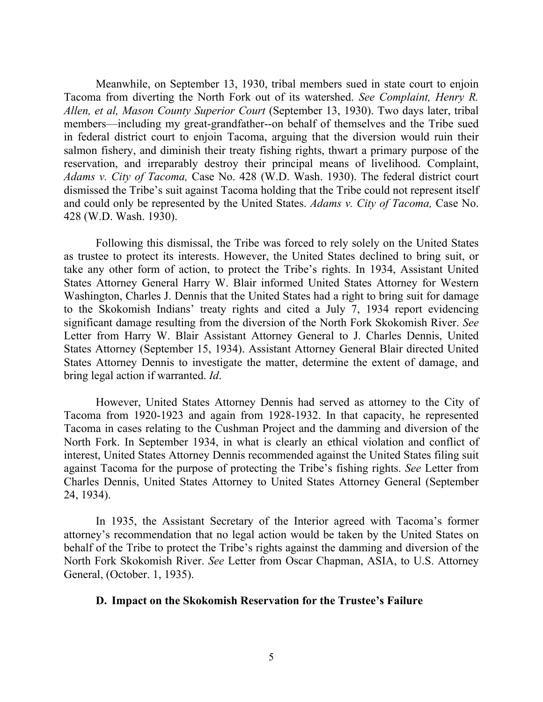Meanwhile, on September 13, 1930, tribal members sued in state court to enjoin Tacoma from diverting the North Fork out of its watershed. *See Complaint, Henry R. Allen, et al, Mason County Superior Court* (September 13, 1930). Two days later, tribal members—including my great-grandfather--on behalf of themselves and the Tribe sued in federal district court to enjoin Tacoma, arguing that the diversion would ruin their salmon fishery, and diminish their treaty fishing rights, thwart a primary purpose of the reservation, and irreparably destroy their principal means of livelihood. Complaint, *Adams v. City of Tacoma,* Case No. 428 (W.D. Wash. 1930). The federal district court dismissed the Tribe's suit against Tacoma holding that the Tribe could not represent itself and could only be represented by the United States. *Adams v. City of Tacoma,* Case No. 428 (W.D. Wash. 1930).

Following this dismissal, the Tribe was forced to rely solely on the United States as trustee to protect its interests. However, the United States declined to bring suit, or take any other form of action, to protect the Tribe's rights. In 1934, Assistant United States Attorney General Harry W. Blair informed United States Attorney for Western Washington, Charles J. Dennis that the United States had a right to bring suit for damage to the Skokomish Indians' treaty rights and cited a July 7, 1934 report evidencing significant damage resulting from the diversion of the North Fork Skokomish River. *See* Letter from Harry W. Blair Assistant Attorney General to J. Charles Dennis, United States Attorney (September 15, 1934). Assistant Attorney General Blair directed United States Attorney Dennis to investigate the matter, determine the extent of damage, and bring legal action if warranted. *Id*.

However, United States Attorney Dennis had served as attorney to the City of Tacoma from 1920-1923 and again from 1928-1932. In that capacity, he represented Tacoma in cases relating to the Cushman Project and the damming and diversion of the North Fork. In September 1934, in what is clearly an ethical violation and conflict of interest, United States Attorney Dennis recommended against the United States filing suit against Tacoma for the purpose of protecting the Tribe's fishing rights. *See* Letter from Charles Dennis, United States Attorney to United States Attorney General (September 24, 1934).

 In 1935, the Assistant Secretary of the Interior agreed with Tacoma's former attorney's recommendation that no legal action would be taken by the United States on behalf of the Tribe to protect the Tribe's rights against the damming and diversion of the North Fork Skokomish River. *See* Letter from Oscar Chapman, ASIA, to U.S. Attorney General, (October. 1, 1935).

## **D. Impact on the Skokomish Reservation for the Trustee's Failure**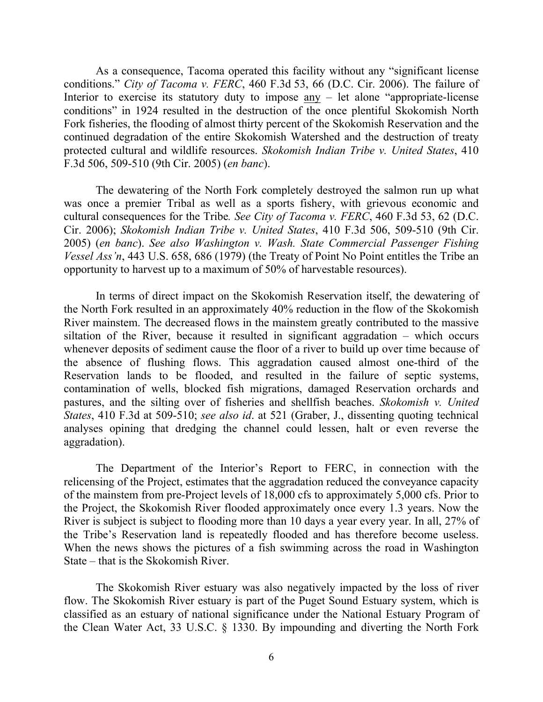As a consequence, Tacoma operated this facility without any "significant license conditions." *City of Tacoma v. FERC*, 460 F.3d 53, 66 (D.C. Cir. 2006). The failure of Interior to exercise its statutory duty to impose any – let alone "appropriate-license conditions" in 1924 resulted in the destruction of the once plentiful Skokomish North Fork fisheries, the flooding of almost thirty percent of the Skokomish Reservation and the continued degradation of the entire Skokomish Watershed and the destruction of treaty protected cultural and wildlife resources. *Skokomish Indian Tribe v. United States*, 410 F.3d 506, 509-510 (9th Cir. 2005) (*en banc*).

The dewatering of the North Fork completely destroyed the salmon run up what was once a premier Tribal as well as a sports fishery, with grievous economic and cultural consequences for the Tribe*. See City of Tacoma v. FERC*, 460 F.3d 53, 62 (D.C. Cir. 2006); *Skokomish Indian Tribe v. United States*, 410 F.3d 506, 509-510 (9th Cir. 2005) (*en banc*). *See also Washington v. Wash. State Commercial Passenger Fishing Vessel Ass'n*, 443 U.S. 658, 686 (1979) (the Treaty of Point No Point entitles the Tribe an opportunity to harvest up to a maximum of 50% of harvestable resources).

In terms of direct impact on the Skokomish Reservation itself, the dewatering of the North Fork resulted in an approximately 40% reduction in the flow of the Skokomish River mainstem. The decreased flows in the mainstem greatly contributed to the massive siltation of the River, because it resulted in significant aggradation – which occurs whenever deposits of sediment cause the floor of a river to build up over time because of the absence of flushing flows. This aggradation caused almost one-third of the Reservation lands to be flooded, and resulted in the failure of septic systems, contamination of wells, blocked fish migrations, damaged Reservation orchards and pastures, and the silting over of fisheries and shellfish beaches. *Skokomish v. United States*, 410 F.3d at 509-510; *see also id*. at 521 (Graber, J., dissenting quoting technical analyses opining that dredging the channel could lessen, halt or even reverse the aggradation).

The Department of the Interior's Report to FERC, in connection with the relicensing of the Project, estimates that the aggradation reduced the conveyance capacity of the mainstem from pre-Project levels of 18,000 cfs to approximately 5,000 cfs. Prior to the Project, the Skokomish River flooded approximately once every 1.3 years. Now the River is subject is subject to flooding more than 10 days a year every year. In all, 27% of the Tribe's Reservation land is repeatedly flooded and has therefore become useless. When the news shows the pictures of a fish swimming across the road in Washington State – that is the Skokomish River.

The Skokomish River estuary was also negatively impacted by the loss of river flow. The Skokomish River estuary is part of the Puget Sound Estuary system, which is classified as an estuary of national significance under the National Estuary Program of the Clean Water Act, 33 U.S.C. § 1330. By impounding and diverting the North Fork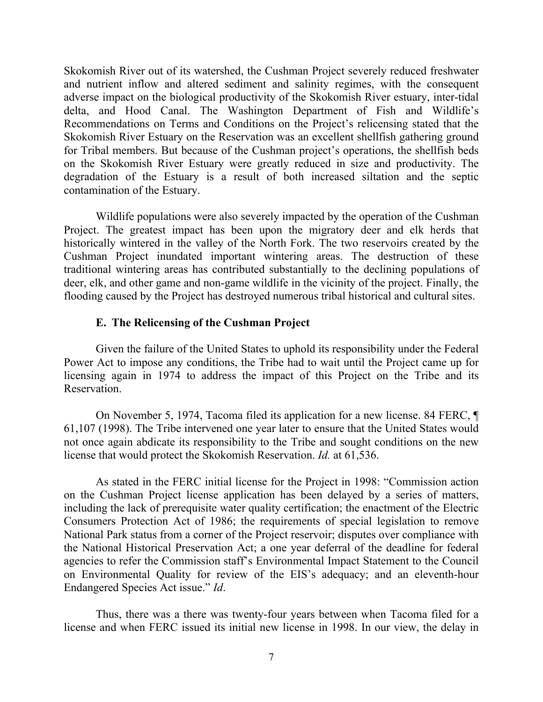Skokomish River out of its watershed, the Cushman Project severely reduced freshwater and nutrient inflow and altered sediment and salinity regimes, with the consequent adverse impact on the biological productivity of the Skokomish River estuary, inter-tidal delta, and Hood Canal. The Washington Department of Fish and Wildlife's Recommendations on Terms and Conditions on the Project's relicensing stated that the Skokomish River Estuary on the Reservation was an excellent shellfish gathering ground for Tribal members. But because of the Cushman project's operations, the shellfish beds on the Skokomish River Estuary were greatly reduced in size and productivity. The degradation of the Estuary is a result of both increased siltation and the septic contamination of the Estuary.

Wildlife populations were also severely impacted by the operation of the Cushman Project. The greatest impact has been upon the migratory deer and elk herds that historically wintered in the valley of the North Fork. The two reservoirs created by the Cushman Project inundated important wintering areas. The destruction of these traditional wintering areas has contributed substantially to the declining populations of deer, elk, and other game and non-game wildlife in the vicinity of the project. Finally, the flooding caused by the Project has destroyed numerous tribal historical and cultural sites.

# **E. The Relicensing of the Cushman Project**

Given the failure of the United States to uphold its responsibility under the Federal Power Act to impose any conditions, the Tribe had to wait until the Project came up for licensing again in 1974 to address the impact of this Project on the Tribe and its Reservation.

On November 5, 1974, Tacoma filed its application for a new license. 84 FERC, ¶ 61,107 (1998). The Tribe intervened one year later to ensure that the United States would not once again abdicate its responsibility to the Tribe and sought conditions on the new license that would protect the Skokomish Reservation. *Id.* at 61,536.

As stated in the FERC initial license for the Project in 1998: "Commission action on the Cushman Project license application has been delayed by a series of matters, including the lack of prerequisite water quality certification; the enactment of the Electric Consumers Protection Act of 1986; the requirements of special legislation to remove National Park status from a corner of the Project reservoir; disputes over compliance with the National Historical Preservation Act; a one year deferral of the deadline for federal agencies to refer the Commission staff's Environmental Impact Statement to the Council on Environmental Quality for review of the EIS's adequacy; and an eleventh-hour Endangered Species Act issue." *Id*.

Thus, there was a there was twenty-four years between when Tacoma filed for a license and when FERC issued its initial new license in 1998. In our view, the delay in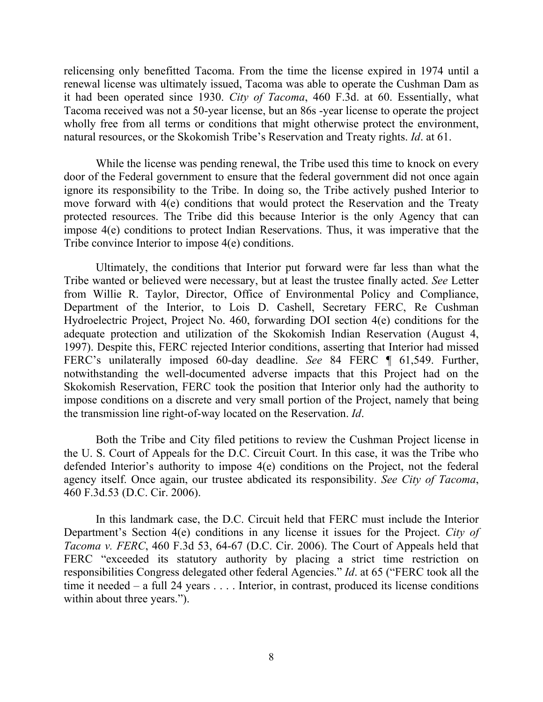relicensing only benefitted Tacoma. From the time the license expired in 1974 until a renewal license was ultimately issued, Tacoma was able to operate the Cushman Dam as it had been operated since 1930. *City of Tacoma*, 460 F.3d. at 60. Essentially, what Tacoma received was not a 50-year license, but an 86s -year license to operate the project wholly free from all terms or conditions that might otherwise protect the environment, natural resources, or the Skokomish Tribe's Reservation and Treaty rights. *Id*. at 61.

While the license was pending renewal, the Tribe used this time to knock on every door of the Federal government to ensure that the federal government did not once again ignore its responsibility to the Tribe. In doing so, the Tribe actively pushed Interior to move forward with 4(e) conditions that would protect the Reservation and the Treaty protected resources. The Tribe did this because Interior is the only Agency that can impose 4(e) conditions to protect Indian Reservations. Thus, it was imperative that the Tribe convince Interior to impose 4(e) conditions.

Ultimately, the conditions that Interior put forward were far less than what the Tribe wanted or believed were necessary, but at least the trustee finally acted. *See* Letter from Willie R. Taylor, Director, Office of Environmental Policy and Compliance, Department of the Interior, to Lois D. Cashell, Secretary FERC, Re Cushman Hydroelectric Project, Project No. 460, forwarding DOI section 4(e) conditions for the adequate protection and utilization of the Skokomish Indian Reservation (August 4, 1997). Despite this, FERC rejected Interior conditions, asserting that Interior had missed FERC's unilaterally imposed 60-day deadline. *See* 84 FERC ¶ 61,549. Further, notwithstanding the well-documented adverse impacts that this Project had on the Skokomish Reservation, FERC took the position that Interior only had the authority to impose conditions on a discrete and very small portion of the Project, namely that being the transmission line right-of-way located on the Reservation. *Id*.

Both the Tribe and City filed petitions to review the Cushman Project license in the U. S. Court of Appeals for the D.C. Circuit Court. In this case, it was the Tribe who defended Interior's authority to impose 4(e) conditions on the Project, not the federal agency itself. Once again, our trustee abdicated its responsibility. *See City of Tacoma*, 460 F.3d.53 (D.C. Cir. 2006).

In this landmark case, the D.C. Circuit held that FERC must include the Interior Department's Section 4(e) conditions in any license it issues for the Project. *City of Tacoma v. FERC*, 460 F.3d 53, 64-67 (D.C. Cir. 2006). The Court of Appeals held that FERC "exceeded its statutory authority by placing a strict time restriction on responsibilities Congress delegated other federal Agencies." *Id*. at 65 ("FERC took all the time it needed – a full 24 years . . . . Interior, in contrast, produced its license conditions within about three years.").